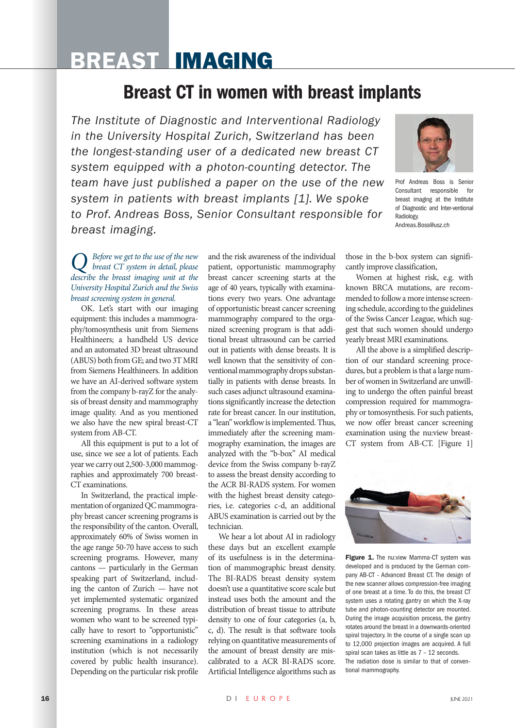# BREAST IMAGING

## Breast CT in women with breast implants

*The Institute of Diagnostic and Interventional Radiology in the University Hospital Zurich, Switzerland has been the longest-standing user of a dedicated new breast CT system equipped with a photon-counting detector. The team have just published a paper on the use of the new system in patients with breast implants [1]. We spoke to Prof. Andreas Boss, Senior Consultant responsible for breast imaging.* 



Prof Andreas Boss is Senior Consultant responsible for breast imaging at the Institute of Diagnostic and Inter-ventional Radiology. Andreas.Boss@usz.ch

*Q Before we get to the use of the new breast CT system in detail, please describe the breast imaging unit at the University Hospital Zurich and the Swiss breast screening system in general.* 

OK. Let's start with our imaging equipment: this includes a mammography/tomosynthesis unit from Siemens Healthineers; a handheld US device and an automated 3D breast ultrasound (ABUS) both from GE; and two 3T MRI from Siemens Healthineers. In addition we have an AI-derived software system from the company b-rayZ for the analysis of breast density and mammography image quality. And as you mentioned we also have the new spiral breast-CT system from AB-CT.

All this equipment is put to a lot of use, since we see a lot of patients. Each year we carry out 2,500-3,000 mammographies and approximately 700 breast-CT examinations.

In Switzerland, the practical implementation of organized QC mammography breast cancer screening programs is the responsibility of the canton. Overall, approximately 60% of Swiss women in the age range 50-70 have access to such screening programs. However, many cantons — particularly in the German speaking part of Switzerland, including the canton of Zurich — have not yet implemented systematic organized screening programs. In these areas women who want to be screened typically have to resort to "opportunistic" screening examinations in a radiology institution (which is not necessarily covered by public health insurance). Depending on the particular risk profile

and the risk awareness of the individual patient, opportunistic mammography breast cancer screening starts at the age of 40 years, typically with examinations every two years. One advantage of opportunistic breast cancer screening mammography compared to the organized screening program is that additional breast ultrasound can be carried out in patients with dense breasts. It is well known that the sensitivity of conventional mammography drops substantially in patients with dense breasts. In such cases adjunct ultrasound examinations significantly increase the detection rate for breast cancer. In our institution, a "lean" workflow is implemented. Thus, immediately after the screening mammography examination, the images are analyzed with the "b-box" AI medical device from the Swiss company b-rayZ to assess the breast density according to the ACR BI-RADS system. For women with the highest breast density categories, i.e. categories c-d, an additional ABUS examination is carried out by the technician.

We hear a lot about AI in radiology these days but an excellent example of its usefulness is in the determination of mammographic breast density. The BI-RADS breast density system doesn't use a quantitative score scale but instead uses both the amount and the distribution of breast tissue to attribute density to one of four categories (a, b, c, d). The result is that software tools relying on quantitative measurements of the amount of breast density are miscalibrated to a ACR BI-RADS score. Artificial Intelligence algorithms such as

those in the b-box system can significantly improve classification,

Women at highest risk, e.g. with known BRCA mutations, are recommended to follow a more intense screening schedule, according to the guidelines of the Swiss Cancer League, which suggest that such women should undergo yearly breast MRI examinations.

All the above is a simplified description of our standard screening procedures, but a problem is that a large number of women in Switzerland are unwilling to undergo the often painful breast compression required for mammography or tomosynthesis. For such patients, we now offer breast cancer screening examination using the nu:view breast-CT system from AB-CT. [Figure 1]



Figure 1. The nu: view Mamma-CT system was developed and is produced by the German company AB-CT - Advanced Breast CT. The design of the new scanner allows compression-free imaging of one breast at a time. To do this, the breast CT system uses a rotating gantry on which the X-ray tube and photon-counting detector are mounted. During the image acquisition process, the gantry rotates around the breast in a downwards-oriented spiral trajectory. In the course of a single scan up to 12,000 projection images are acquired. A full spiral scan takes as little as 7 – 12 seconds. The radiation dose is similar to that of conventional mammography.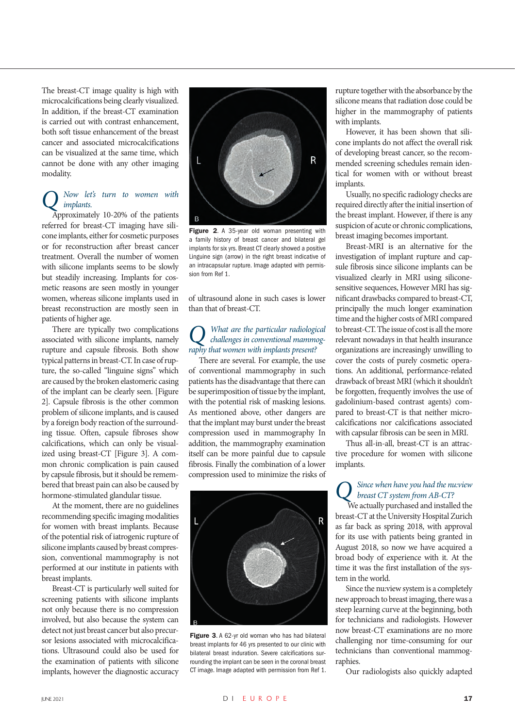The breast-CT image quality is high with microcalcifications being clearly visualized. In addition, if the breast-CT examination is carried out with contrast enhancement, both soft tissue enhancement of the breast cancer and associated microcalcifications can be visualized at the same time, which cannot be done with any other imaging modality.

#### *Q Now let's turn to women with implants.*

Approximately 10-20% of the patients referred for breast-CT imaging have silicone implants, either for cosmetic purposes or for reconstruction after breast cancer treatment. Overall the number of women with silicone implants seems to be slowly but steadily increasing. Implants for cosmetic reasons are seen mostly in younger women, whereas silicone implants used in breast reconstruction are mostly seen in patients of higher age.

There are typically two complications associated with silicone implants, namely rupture and capsule fibrosis. Both show typical patterns in breast-CT. In case of rupture, the so-called "linguine signs" which are caused by the broken elastomeric casing of the implant can be clearly seen. [Figure 2]. Capsule fibrosis is the other common problem of silicone implants, and is caused by a foreign body reaction of the surrounding tissue. Often, capsule fibroses show calcifications, which can only be visualized using breast-CT [Figure 3]. A common chronic complication is pain caused by capsule fibrosis, but it should be remembered that breast pain can also be caused by hormone-stimulated glandular tissue.

At the moment, there are no guidelines recommending specific imaging modalities for women with breast implants. Because of the potential risk of iatrogenic rupture of silicone implants caused by breast compression, conventional mammography is not performed at our institute in patients with breast implants.

Breast-CT is particularly well suited for screening patients with silicone implants not only because there is no compression involved, but also because the system can detect not just breast cancer but also precursor lesions associated with microcalcifications. Ultrasound could also be used for the examination of patients with silicone implants, however the diagnostic accuracy



Figure 2. A 35-year old woman presenting with a family history of breast cancer and bilateral gel implants for six yrs. Breast CT clearly showed a positive Linguine sign (arrow) in the right breast indicative of an intracapsular rupture. Image adapted with permission from Ref 1.

of ultrasound alone in such cases is lower than that of breast-CT.

## *Q What are the particular radiological challenges in conventional mammography that women with implants present?*

There are several. For example, the use of conventional mammography in such patients has the disadvantage that there can be superimposition of tissue by the implant, with the potential risk of masking lesions. As mentioned above, other dangers are that the implant may burst under the breast compression used in mammography In addition, the mammography examination itself can be more painful due to capsule fibrosis. Finally the combination of a lower compression used to minimize the risks of



Figure 3. A 62-yr old woman who has had bilateral breast implants for 46 yrs presented to our clinic with bilateral breast induration. Severe calcifications surrounding the implant can be seen in the coronal breast CT image. Image adapted with permission from Ref 1.

rupture together with the absorbance by the silicone means that radiation dose could be higher in the mammography of patients with implants.

However, it has been shown that silicone implants do not affect the overall risk of developing breast cancer, so the recommended screening schedules remain identical for women with or without breast implants.

Usually, no specific radiology checks are required directly after the initial insertion of the breast implant. However, if there is any suspicion of acute or chronic complications, breast imaging becomes important.

Breast-MRI is an alternative for the investigation of implant rupture and capsule fibrosis since silicone implants can be visualized clearly in MRI using siliconesensitive sequences, However MRI has significant drawbacks compared to breast-CT, principally the much longer examination time and the higher costs of MRI compared to breast-CT. The issue of cost is all the more relevant nowadays in that health insurance organizations are increasingly unwilling to cover the costs of purely cosmetic operations. An additional, performance-related drawback of breast MRI (which it shouldn't be forgotten, frequently involves the use of gadolinium-based contrast agents) compared to breast-CT is that neither microcalcifications nor calcifications associated with capsular fibrosis can be seen in MRI.

Thus all-in-all, breast-CT is an attractive procedure for women with silicone implants.

# *Q Since when have you had the nu:view breast CT system from AB-CT?*

 We actually purchased and installed the breast-CT at the University Hospital Zurich as far back as spring 2018, with approval for its use with patients being granted in August 2018, so now we have acquired a broad body of experience with it. At the time it was the first installation of the system in the world.

Since the nu:view system is a completely new approach to breast imaging, there was a steep learning curve at the beginning, both for technicians and radiologists. However now breast-CT examinations are no more challenging nor time-consuming for our technicians than conventional mammographies.

Our radiologists also quickly adapted